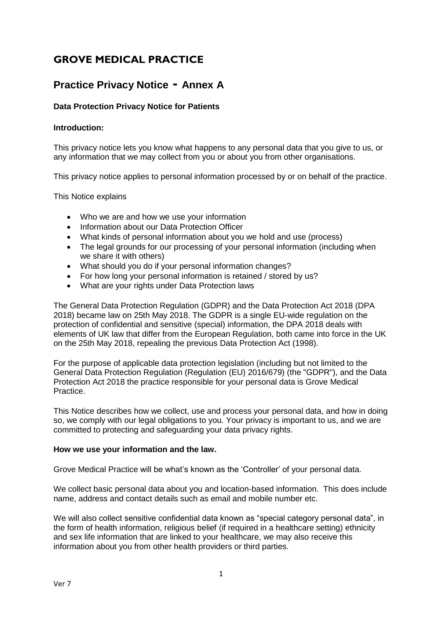# **GROVE MEDICAL PRACTICE**

# **Practice Privacy Notice - Annex A**

# **Data Protection Privacy Notice for Patients**

## **Introduction:**

This privacy notice lets you know what happens to any personal data that you give to us, or any information that we may collect from you or about you from other organisations.

This privacy notice applies to personal information processed by or on behalf of the practice.

This Notice explains

- Who we are and how we use your information
- Information about our Data Protection Officer
- What kinds of personal information about you we hold and use (process)
- The legal grounds for our processing of your personal information (including when we share it with others)
- What should you do if your personal information changes?
- For how long your personal information is retained / stored by us?
- What are your rights under Data Protection laws

The General Data Protection Regulation (GDPR) and the Data Protection Act 2018 (DPA 2018) became law on 25th May 2018. The GDPR is a single EU-wide regulation on the protection of confidential and sensitive (special) information, the DPA 2018 deals with elements of UK law that differ from the European Regulation, both came into force in the UK on the 25th May 2018, repealing the previous Data Protection Act (1998).

For the purpose of applicable data protection legislation (including but not limited to the General Data Protection Regulation (Regulation (EU) 2016/679) (the "GDPR"), and the Data Protection Act 2018 the practice responsible for your personal data is Grove Medical Practice.

This Notice describes how we collect, use and process your personal data, and how in doing so, we comply with our legal obligations to you. Your privacy is important to us, and we are committed to protecting and safeguarding your data privacy rights.

#### **How we use your information and the law.**

Grove Medical Practice will be what's known as the 'Controller' of your personal data.

We collect basic personal data about you and location-based information. This does include name, address and contact details such as email and mobile number etc.

We will also collect sensitive confidential data known as "special category personal data", in the form of health information, religious belief (if required in a healthcare setting) ethnicity and sex life information that are linked to your healthcare, we may also receive this information about you from other health providers or third parties.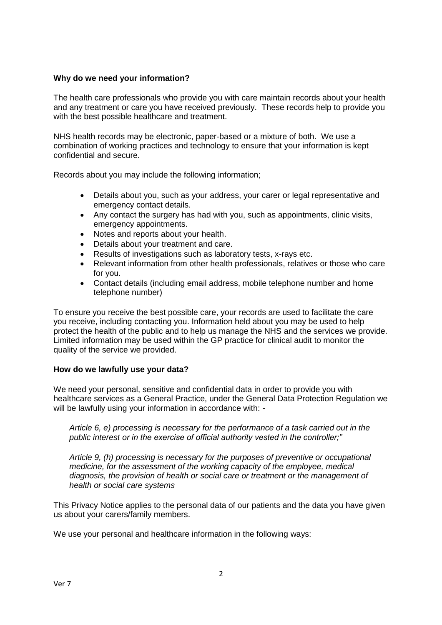## **Why do we need your information?**

The health care professionals who provide you with care maintain records about your health and any treatment or care you have received previously. These records help to provide you with the best possible healthcare and treatment.

NHS health records may be electronic, paper-based or a mixture of both. We use a combination of working practices and technology to ensure that your information is kept confidential and secure.

Records about you may include the following information;

- Details about you, such as your address, your carer or legal representative and emergency contact details.
- Any contact the surgery has had with you, such as appointments, clinic visits, emergency appointments.
- Notes and reports about your health.
- Details about your treatment and care.
- Results of investigations such as laboratory tests, x-rays etc.
- Relevant information from other health professionals, relatives or those who care for you.
- Contact details (including email address, mobile telephone number and home telephone number)

To ensure you receive the best possible care, your records are used to facilitate the care you receive, including contacting you. Information held about you may be used to help protect the health of the public and to help us manage the NHS and the services we provide. Limited information may be used within the GP practice for clinical audit to monitor the quality of the service we provided.

#### **How do we lawfully use your data?**

We need your personal, sensitive and confidential data in order to provide you with healthcare services as a General Practice, under the General Data Protection Regulation we will be lawfully using your information in accordance with: -

*Article 6, e) processing is necessary for the performance of a task carried out in the public interest or in the exercise of official authority vested in the controller;"* 

*Article 9, (h) processing is necessary for the purposes of preventive or occupational medicine, for the assessment of the working capacity of the employee, medical diagnosis, the provision of health or social care or treatment or the management of health or social care systems* 

This Privacy Notice applies to the personal data of our patients and the data you have given us about your carers/family members.

We use your personal and healthcare information in the following ways: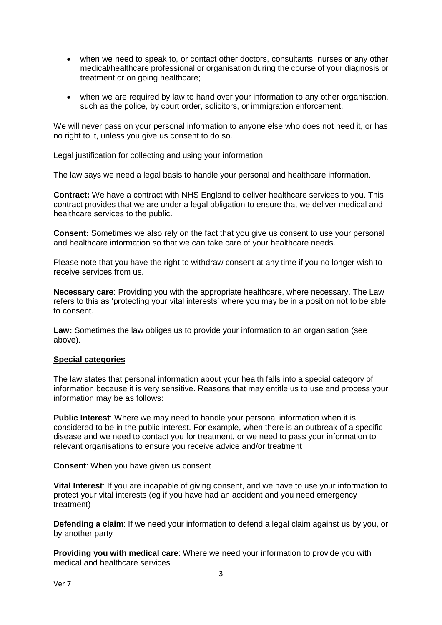- when we need to speak to, or contact other doctors, consultants, nurses or any other medical/healthcare professional or organisation during the course of your diagnosis or treatment or on going healthcare;
- when we are required by law to hand over your information to any other organisation, such as the police, by court order, solicitors, or immigration enforcement.

We will never pass on your personal information to anyone else who does not need it, or has no right to it, unless you give us consent to do so.

Legal justification for collecting and using your information

The law says we need a legal basis to handle your personal and healthcare information.

**Contract:** We have a contract with NHS England to deliver healthcare services to you. This contract provides that we are under a legal obligation to ensure that we deliver medical and healthcare services to the public.

**Consent:** Sometimes we also rely on the fact that you give us consent to use your personal and healthcare information so that we can take care of your healthcare needs.

Please note that you have the right to withdraw consent at any time if you no longer wish to receive services from us.

**Necessary care**: Providing you with the appropriate healthcare, where necessary. The Law refers to this as 'protecting your vital interests' where you may be in a position not to be able to consent.

**Law:** Sometimes the law obliges us to provide your information to an organisation (see above).

#### **Special categories**

The law states that personal information about your health falls into a special category of information because it is very sensitive. Reasons that may entitle us to use and process your information may be as follows:

**Public Interest**: Where we may need to handle your personal information when it is considered to be in the public interest. For example, when there is an outbreak of a specific disease and we need to contact you for treatment, or we need to pass your information to relevant organisations to ensure you receive advice and/or treatment

**Consent**: When you have given us consent

**Vital Interest**: If you are incapable of giving consent, and we have to use your information to protect your vital interests (eg if you have had an accident and you need emergency treatment)

**Defending a claim**: If we need your information to defend a legal claim against us by you, or by another party

**Providing you with medical care**: Where we need your information to provide you with medical and healthcare services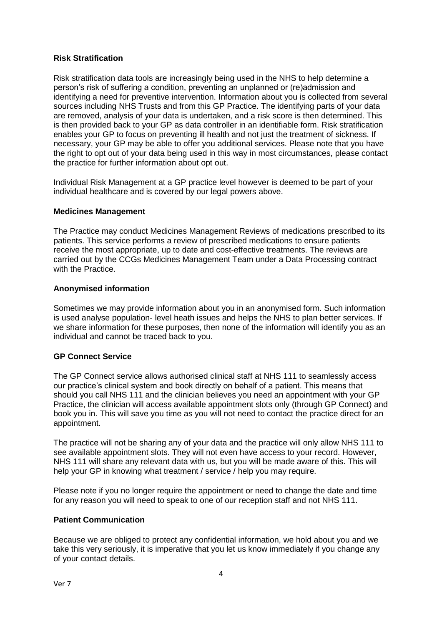## **Risk Stratification**

Risk stratification data tools are increasingly being used in the NHS to help determine a person's risk of suffering a condition, preventing an unplanned or (re)admission and identifying a need for preventive intervention. Information about you is collected from several sources including NHS Trusts and from this GP Practice. The identifying parts of your data are removed, analysis of your data is undertaken, and a risk score is then determined. This is then provided back to your GP as data controller in an identifiable form. Risk stratification enables your GP to focus on preventing ill health and not just the treatment of sickness. If necessary, your GP may be able to offer you additional services. Please note that you have the right to opt out of your data being used in this way in most circumstances, please contact the practice for further information about opt out.

Individual Risk Management at a GP practice level however is deemed to be part of your individual healthcare and is covered by our legal powers above.

#### **Medicines Management**

The Practice may conduct Medicines Management Reviews of medications prescribed to its patients. This service performs a review of prescribed medications to ensure patients receive the most appropriate, up to date and cost-effective treatments. The reviews are carried out by the CCGs Medicines Management Team under a Data Processing contract with the Practice.

#### **Anonymised information**

Sometimes we may provide information about you in an anonymised form. Such information is used analyse population- level heath issues and helps the NHS to plan better services. If we share information for these purposes, then none of the information will identify you as an individual and cannot be traced back to you.

## **GP Connect Service**

The GP Connect service allows authorised clinical staff at NHS 111 to seamlessly access our practice's clinical system and book directly on behalf of a patient. This means that should you call NHS 111 and the clinician believes you need an appointment with your GP Practice, the clinician will access available appointment slots only (through GP Connect) and book you in. This will save you time as you will not need to contact the practice direct for an appointment.

The practice will not be sharing any of your data and the practice will only allow NHS 111 to see available appointment slots. They will not even have access to your record. However, NHS 111 will share any relevant data with us, but you will be made aware of this. This will help your GP in knowing what treatment / service / help you may require.

Please note if you no longer require the appointment or need to change the date and time for any reason you will need to speak to one of our reception staff and not NHS 111.

## **Patient Communication**

Because we are obliged to protect any confidential information, we hold about you and we take this very seriously, it is imperative that you let us know immediately if you change any of your contact details.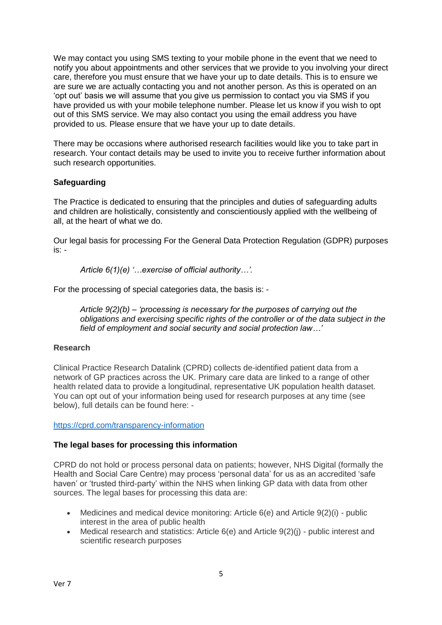We may contact you using SMS texting to your mobile phone in the event that we need to notify you about appointments and other services that we provide to you involving your direct care, therefore you must ensure that we have your up to date details. This is to ensure we are sure we are actually contacting you and not another person. As this is operated on an 'opt out' basis we will assume that you give us permission to contact you via SMS if you have provided us with your mobile telephone number. Please let us know if you wish to opt out of this SMS service. We may also contact you using the email address you have provided to us. Please ensure that we have your up to date details.

There may be occasions where authorised research facilities would like you to take part in research. Your contact details may be used to invite you to receive further information about such research opportunities.

# **Safeguarding**

The Practice is dedicated to ensuring that the principles and duties of safeguarding adults and children are holistically, consistently and conscientiously applied with the wellbeing of all, at the heart of what we do.

Our legal basis for processing For the General Data Protection Regulation (GDPR) purposes is: -

*Article 6(1)(e) '…exercise of official authority…'.* 

For the processing of special categories data, the basis is: -

*Article 9(2)(b) – 'processing is necessary for the purposes of carrying out the obligations and exercising specific rights of the controller or of the data subject in the field of employment and social security and social protection law…'*

## **Research**

Clinical Practice Research Datalink (CPRD) collects de-identified patient data from a network of GP practices across the UK. Primary care data are linked to a range of other health related data to provide a longitudinal, representative UK population health dataset. You can opt out of your information being used for research purposes at any time (see below), full details can be found here: -

<https://cprd.com/transparency-information>

## **The legal bases for processing this information**

CPRD do not hold or process personal data on patients; however, NHS Digital (formally the Health and Social Care Centre) may process 'personal data' for us as an accredited 'safe haven' or 'trusted third-party' within the NHS when linking GP data with data from other sources. The legal bases for processing this data are:

- Medicines and medical device monitoring: Article  $6(e)$  and Article  $9(2)(i)$  public interest in the area of public health
- Medical research and statistics: Article  $6(e)$  and Article  $9(2)(i)$  public interest and scientific research purposes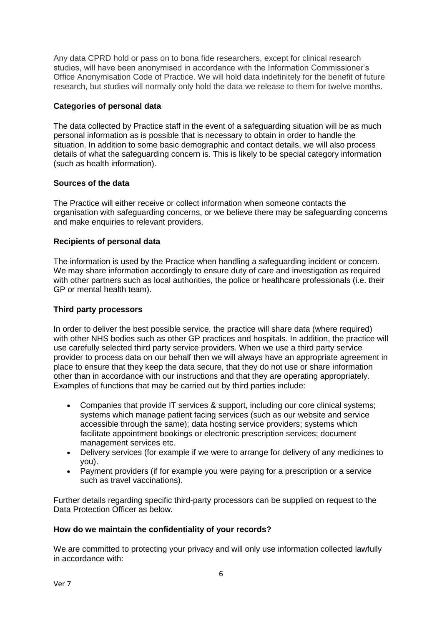Any data CPRD hold or pass on to bona fide researchers, except for clinical research studies, will have been anonymised in accordance with the Information Commissioner's Office Anonymisation Code of Practice. We will hold data indefinitely for the benefit of future research, but studies will normally only hold the data we release to them for twelve months.

# **Categories of personal data**

The data collected by Practice staff in the event of a safeguarding situation will be as much personal information as is possible that is necessary to obtain in order to handle the situation. In addition to some basic demographic and contact details, we will also process details of what the safeguarding concern is. This is likely to be special category information (such as health information).

## **Sources of the data**

The Practice will either receive or collect information when someone contacts the organisation with safeguarding concerns, or we believe there may be safeguarding concerns and make enquiries to relevant providers.

# **Recipients of personal data**

The information is used by the Practice when handling a safeguarding incident or concern. We may share information accordingly to ensure duty of care and investigation as required with other partners such as local authorities, the police or healthcare professionals (i.e. their GP or mental health team).

# **Third party processors**

In order to deliver the best possible service, the practice will share data (where required) with other NHS bodies such as other GP practices and hospitals. In addition, the practice will use carefully selected third party service providers. When we use a third party service provider to process data on our behalf then we will always have an appropriate agreement in place to ensure that they keep the data secure, that they do not use or share information other than in accordance with our instructions and that they are operating appropriately. Examples of functions that may be carried out by third parties include:

- Companies that provide IT services & support, including our core clinical systems; systems which manage patient facing services (such as our website and service accessible through the same); data hosting service providers; systems which facilitate appointment bookings or electronic prescription services; document management services etc.
- Delivery services (for example if we were to arrange for delivery of any medicines to you).
- Payment providers (if for example you were paying for a prescription or a service such as travel vaccinations).

Further details regarding specific third-party processors can be supplied on request to the Data Protection Officer as below.

## **How do we maintain the confidentiality of your records?**

We are committed to protecting your privacy and will only use information collected lawfully in accordance with: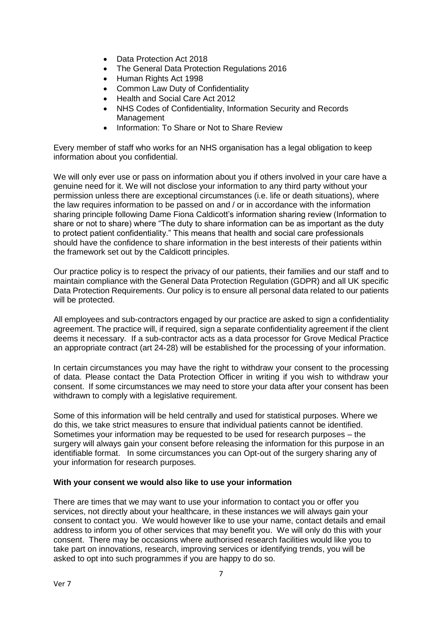- Data Protection Act 2018
- The General Data Protection Regulations 2016
- Human Rights Act 1998
- Common Law Duty of Confidentiality
- Health and Social Care Act 2012
- NHS Codes of Confidentiality, Information Security and Records Management
- Information: To Share or Not to Share Review

Every member of staff who works for an NHS organisation has a legal obligation to keep information about you confidential.

We will only ever use or pass on information about you if others involved in your care have a genuine need for it. We will not disclose your information to any third party without your permission unless there are exceptional circumstances (i.e. life or death situations), where the law requires information to be passed on and / or in accordance with the information sharing principle following Dame Fiona Caldicott's information sharing review (Information to share or not to share) where "The duty to share information can be as important as the duty to protect patient confidentiality." This means that health and social care professionals should have the confidence to share information in the best interests of their patients within the framework set out by the Caldicott principles.

Our practice policy is to respect the privacy of our patients, their families and our staff and to maintain compliance with the General Data Protection Regulation (GDPR) and all UK specific Data Protection Requirements. Our policy is to ensure all personal data related to our patients will be protected.

All employees and sub-contractors engaged by our practice are asked to sign a confidentiality agreement. The practice will, if required, sign a separate confidentiality agreement if the client deems it necessary. If a sub-contractor acts as a data processor for Grove Medical Practice an appropriate contract (art 24-28) will be established for the processing of your information.

In certain circumstances you may have the right to withdraw your consent to the processing of data. Please contact the Data Protection Officer in writing if you wish to withdraw your consent. If some circumstances we may need to store your data after your consent has been withdrawn to comply with a legislative requirement.

Some of this information will be held centrally and used for statistical purposes. Where we do this, we take strict measures to ensure that individual patients cannot be identified. Sometimes your information may be requested to be used for research purposes – the surgery will always gain your consent before releasing the information for this purpose in an identifiable format. In some circumstances you can Opt-out of the surgery sharing any of your information for research purposes.

## **With your consent we would also like to use your information**

There are times that we may want to use your information to contact you or offer you services, not directly about your healthcare, in these instances we will always gain your consent to contact you. We would however like to use your name, contact details and email address to inform you of other services that may benefit you. We will only do this with your consent. There may be occasions where authorised research facilities would like you to take part on innovations, research, improving services or identifying trends, you will be asked to opt into such programmes if you are happy to do so.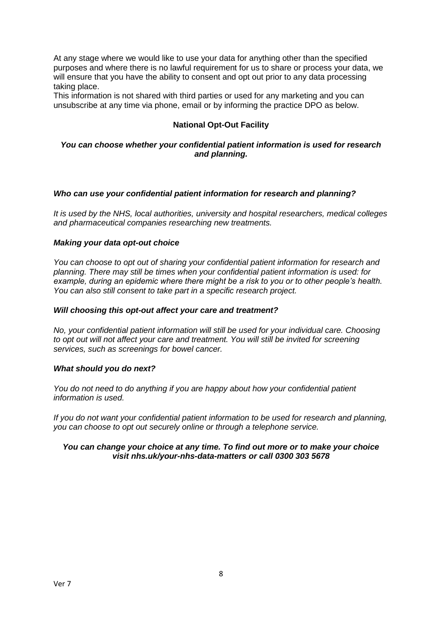At any stage where we would like to use your data for anything other than the specified purposes and where there is no lawful requirement for us to share or process your data, we will ensure that you have the ability to consent and opt out prior to any data processing taking place.

This information is not shared with third parties or used for any marketing and you can unsubscribe at any time via phone, email or by informing the practice DPO as below.

# **National Opt-Out Facility**

#### *You can choose whether your confidential patient information is used for research and planning.*

## *Who can use your confidential patient information for research and planning?*

*It is used by the NHS, local authorities, university and hospital researchers, medical colleges and pharmaceutical companies researching new treatments.* 

#### *Making your data opt-out choice*

*You can choose to opt out of sharing your confidential patient information for research and planning. There may still be times when your confidential patient information is used: for example, during an epidemic where there might be a risk to you or to other people's health. You can also still consent to take part in a specific research project.*

#### *Will choosing this opt-out affect your care and treatment?*

*No, your confidential patient information will still be used for your individual care. Choosing to opt out will not affect your care and treatment. You will still be invited for screening services, such as screenings for bowel cancer.*

#### *What should you do next?*

*You do not need to do anything if you are happy about how your confidential patient information is used.*

*If you do not want your confidential patient information to be used for research and planning, you can choose to opt out securely online or through a telephone service.*

#### *You can change your choice at any time. To find out more or to make your choice visit nhs.uk/your-nhs-data-matters or call 0300 303 5678*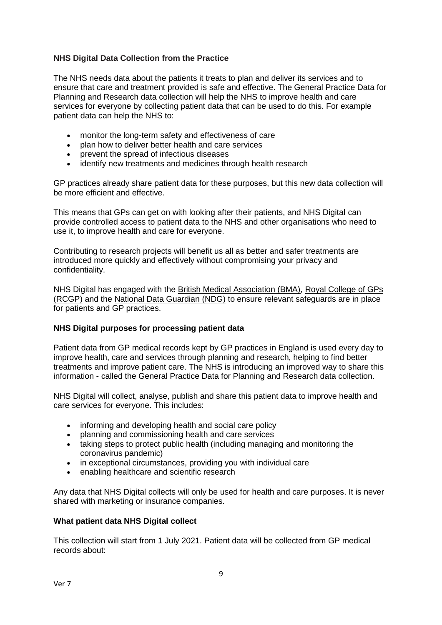## **NHS Digital Data Collection from the Practice**

The NHS needs data about the patients it treats to plan and deliver its services and to ensure that care and treatment provided is safe and effective. The General Practice Data for Planning and Research data collection will help the NHS to improve health and care services for everyone by collecting patient data that can be used to do this. For example patient data can help the NHS to:

- monitor the long-term safety and effectiveness of care
- plan how to deliver better health and care services
- prevent the spread of infectious diseases
- identify new treatments and medicines through health research

GP practices already share patient data for these purposes, but this new data collection will be more efficient and effective.

This means that GPs can get on with looking after their patients, and NHS Digital can provide controlled access to patient data to the NHS and other organisations who need to use it, to improve health and care for everyone.

Contributing to research projects will benefit us all as better and safer treatments are introduced more quickly and effectively without compromising your privacy and confidentiality.

NHS Digital has engaged with the [British Medical Association \(BMA\),](http://www.bma.org.uk/) [Royal College of GPs](http://www.rcgp.org.uk/)  [\(RCGP\)](http://www.rcgp.org.uk/) and the [National Data Guardian \(NDG\)](http://www.gov.uk/government/organisations/national-data-guardian) to ensure relevant safeguards are in place for patients and GP practices.

## **NHS Digital purposes for processing patient data**

Patient data from GP medical records kept by GP practices in England is used every day to improve health, care and services through planning and research, helping to find better treatments and improve patient care. The NHS is introducing an improved way to share this information - called the General Practice Data for Planning and Research data collection.

NHS Digital will collect, analyse, publish and share this patient data to improve health and care services for everyone. This includes:

- informing and developing health and social care policy
- planning and commissioning health and care services
- taking steps to protect public health (including managing and monitoring the coronavirus pandemic)
- in exceptional circumstances, providing you with individual care
- enabling healthcare and scientific research

Any data that NHS Digital collects will only be used for health and care purposes. It is never shared with marketing or insurance companies.

#### **What patient data NHS Digital collect**

This collection will start from 1 July 2021. Patient data will be collected from GP medical records about: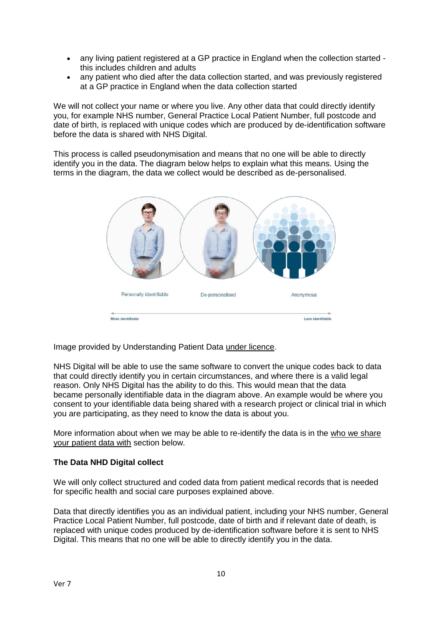- any living patient registered at a GP practice in England when the collection started this includes children and adults
- any patient who died after the data collection started, and was previously registered at a GP practice in England when the data collection started

We will not collect your name or where you live. Any other data that could directly identify you, for example NHS number, General Practice Local Patient Number, full postcode and date of birth, is replaced with unique codes which are produced by de-identification software before the data is shared with NHS Digital.

This process is called pseudonymisation and means that no one will be able to directly identify you in the data. The diagram below helps to explain what this means. Using the terms in the diagram, the data we collect would be described as de-personalised.



Image provided by Understanding Patient Data [under licence.](https://creativecommons.org/licenses/by/2.0/)

NHS Digital will be able to use the same software to convert the unique codes back to data that could directly identify you in certain circumstances, and where there is a valid legal reason. Only NHS Digital has the ability to do this. This would mean that the data became personally identifiable data in the diagram above. An example would be where you consent to your identifiable data being shared with a research project or clinical trial in which you are participating, as they need to know the data is about you.

More information about when we may be able to re-identify the data is in the [who we share](https://digital.nhs.uk/data-and-information/data-collections-and-data-sets/data-collections/general-practice-data-for-planning-and-research/transparency-notice#who-we-share-your-patient-data-with)  [your patient data with](https://digital.nhs.uk/data-and-information/data-collections-and-data-sets/data-collections/general-practice-data-for-planning-and-research/transparency-notice#who-we-share-your-patient-data-with) section below.

## **The Data NHD Digital collect**

We will only collect structured and coded data from patient medical records that is needed for specific health and social care purposes explained above.

Data that directly identifies you as an individual patient, including your NHS number, General Practice Local Patient Number, full postcode, date of birth and if relevant date of death, is replaced with unique codes produced by de-identification software before it is sent to NHS Digital. This means that no one will be able to directly identify you in the data.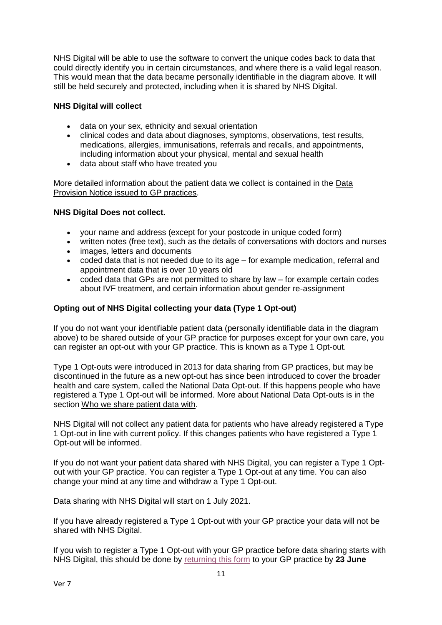NHS Digital will be able to use the software to convert the unique codes back to data that could directly identify you in certain circumstances, and where there is a valid legal reason. This would mean that the data became personally identifiable in the diagram above. It will still be held securely and protected, including when it is shared by NHS Digital.

# **NHS Digital will collect**

- data on your sex, ethnicity and sexual orientation
- clinical codes and data about diagnoses, symptoms, observations, test results, medications, allergies, immunisations, referrals and recalls, and appointments, including information about your physical, mental and sexual health
- data about staff who have treated you

More detailed information about the patient data we collect is contained in the [Data](https://digital.nhs.uk/about-nhs-digital/corporate-information-and-documents/directions-and-data-provision-notices/data-provision-notices-dpns/general-practice-data-for-planning-and-research)  [Provision Notice issued to GP practices.](https://digital.nhs.uk/about-nhs-digital/corporate-information-and-documents/directions-and-data-provision-notices/data-provision-notices-dpns/general-practice-data-for-planning-and-research)

## **NHS Digital Does not collect.**

- your name and address (except for your postcode in unique coded form)
- written notes (free text), such as the details of conversations with doctors and nurses
- images, letters and documents
- coded data that is not needed due to its age for example medication, referral and appointment data that is over 10 years old
- coded data that GPs are not permitted to share by law for example certain codes about IVF treatment, and certain information about gender re-assignment

# **Opting out of NHS Digital collecting your data (Type 1 Opt-out)**

If you do not want your identifiable patient data (personally identifiable data in the diagram above) to be shared outside of your GP practice for purposes except for your own care, you can register an opt-out with your GP practice. This is known as a Type 1 Opt-out.

Type 1 Opt-outs were introduced in 2013 for data sharing from GP practices, but may be discontinued in the future as a new opt-out has since been introduced to cover the broader health and care system, called the National Data Opt-out. If this happens people who have registered a Type 1 Opt-out will be informed. More about National Data Opt-outs is in the section [Who we share patient data with.](https://digital.nhs.uk/data-and-information/data-collections-and-data-sets/data-collections/general-practice-data-for-planning-and-research/transparency-notice#who-we-share-patient-data-with)

NHS Digital will not collect any patient data for patients who have already registered a Type 1 Opt-out in line with current policy. If this changes patients who have registered a Type 1 Opt-out will be informed.

If you do not want your patient data shared with NHS Digital, you can register a Type 1 Optout with your GP practice. You can register a Type 1 Opt-out at any time. You can also change your mind at any time and withdraw a Type 1 Opt-out.

Data sharing with NHS Digital will start on 1 July 2021.

If you have already registered a Type 1 Opt-out with your GP practice your data will not be shared with NHS Digital.

If you wish to register a Type 1 Opt-out with your GP practice before data sharing starts with NHS Digital, this should be done by [returning this form](https://nhs-prod.global.ssl.fastly.net/binaries/content/assets/website-assets/data-and-information/data-collections/general-practice-data-for-planning-and-research/type-1-opt-out-form.docx) to your GP practice by **23 June**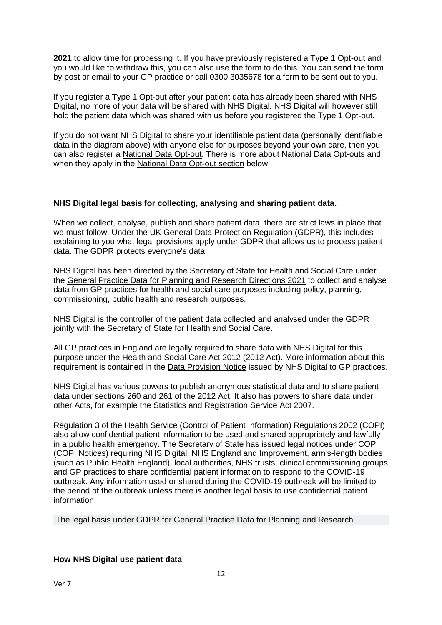**2021** to allow time for processing it. If you have previously registered a Type 1 Opt-out and you would like to withdraw this, you can also use the form to do this. You can send the form by post or email to your GP practice or call 0300 3035678 for a form to be sent out to you.

If you register a Type 1 Opt-out after your patient data has already been shared with NHS Digital, no more of your data will be shared with NHS Digital. NHS Digital will however still hold the patient data which was shared with us before you registered the Type 1 Opt-out.

If you do not want NHS Digital to share your identifiable patient data (personally identifiable data in the diagram above) with anyone else for purposes beyond your own care, then you can also register a [National Data Opt-out.](https://www.nhs.uk/your-nhs-data-matters/) There is more about National Data Opt-outs and when they apply in the [National Data Opt-out section](https://digital.nhs.uk/data-and-information/data-collections-and-data-sets/data-collections/general-practice-data-for-planning-and-research/transparency-notice#national-data-opt-out-opting-out-of-nhs-digital-sharing-your-data-) below.

## **NHS Digital legal basis for collecting, analysing and sharing patient data.**

When we collect, analyse, publish and share patient data, there are strict laws in place that we must follow. Under the UK General Data Protection Regulation (GDPR), this includes explaining to you what legal provisions apply under GDPR that allows us to process patient data. The GDPR protects everyone's data.

NHS Digital has been directed by the Secretary of State for Health and Social Care under the [General Practice Data for Planning and Research Directions 2021](https://digital.nhs.uk/about-nhs-digital/corporate-information-and-documents/directions-and-data-provision-notices/secretary-of-state-directions/general-practice-data-for-planning-and-research-directions-2021) to collect and analyse data from GP practices for health and social care purposes including policy, planning, commissioning, public health and research purposes.

NHS Digital is the controller of the patient data collected and analysed under the GDPR jointly with the Secretary of State for Health and Social Care.

All GP practices in England are legally required to share data with NHS Digital for this purpose under the Health and Social Care Act 2012 (2012 Act). More information about this requirement is contained in the [Data Provision Notice](https://digital.nhs.uk/about-nhs-digital/corporate-information-and-documents/directions-and-data-provision-notices/data-provision-notices-dpns/general-practice-data-for-planning-and-research) issued by NHS Digital to GP practices.

NHS Digital has various powers to publish anonymous statistical data and to share patient data under sections 260 and 261 of the 2012 Act. It also has powers to share data under other Acts, for example the Statistics and Registration Service Act 2007.

Regulation 3 of the Health Service (Control of Patient Information) Regulations 2002 (COPI) also allow confidential patient information to be used and shared appropriately and lawfully in a public health emergency. The Secretary of State has issued legal notices under COPI (COPI Notices) requiring NHS Digital, NHS England and Improvement, arm's-length bodies (such as Public Health England), local authorities, NHS trusts, clinical commissioning groups and GP practices to share confidential patient information to respond to the COVID-19 outbreak. Any information used or shared during the COVID-19 outbreak will be limited to the period of the outbreak unless there is another legal basis to use confidential patient information.

The legal basis under GDPR for General Practice Data for Planning and Research

## **How NHS Digital use patient data**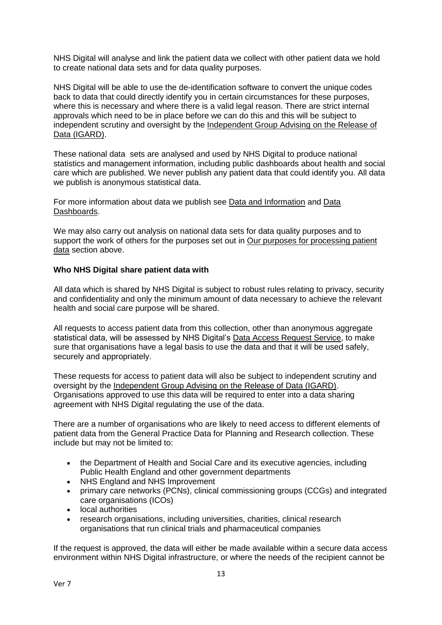NHS Digital will analyse and link the patient data we collect with other patient data we hold to create national data sets and for data quality purposes.

NHS Digital will be able to use the de-identification software to convert the unique codes back to data that could directly identify you in certain circumstances for these purposes, where this is necessary and where there is a valid legal reason. There are strict internal approvals which need to be in place before we can do this and this will be subject to independent scrutiny and oversight by the [Independent Group Advising on the Release of](https://digital.nhs.uk/about-nhs-digital/corporate-information-and-documents/independent-group-advising-on-the-release-of-data)  [Data \(IGARD\).](https://digital.nhs.uk/about-nhs-digital/corporate-information-and-documents/independent-group-advising-on-the-release-of-data)

These national data sets are analysed and used by NHS Digital to produce national statistics and management information, including public dashboards about health and social care which are published. We never publish any patient data that could identify you. All data we publish is anonymous statistical data.

For more information about data we publish see [Data and Information](https://digital.nhs.uk/data) and [Data](https://digital.nhs.uk/dashboards)  [Dashboards.](https://digital.nhs.uk/dashboards)

We may also carry out analysis on national data sets for data quality purposes and to support the work of others for the purposes set out in [Our purposes for processing](https://digital.nhs.uk/data-and-information/data-collections-and-data-sets/data-collections/general-practice-data-for-planning-and-research/transparency-notice#our-purposes-for-processing-patient-data) patient [data](https://digital.nhs.uk/data-and-information/data-collections-and-data-sets/data-collections/general-practice-data-for-planning-and-research/transparency-notice#our-purposes-for-processing-patient-data) section above.

## **Who NHS Digital share patient data with**

All data which is shared by NHS Digital is subject to robust rules relating to privacy, security and confidentiality and only the minimum amount of data necessary to achieve the relevant health and social care purpose will be shared.

All requests to access patient data from this collection, other than anonymous aggregate statistical data, will be assessed by NHS Digital's [Data Access Request Service,](https://digital.nhs.uk/services/data-access-request-service-dars) to make sure that organisations have a legal basis to use the data and that it will be used safely, securely and appropriately.

These requests for access to patient data will also be subject to independent scrutiny and oversight by the [Independent Group Advising on the Release of Data \(IGARD\).](https://digital.nhs.uk/about-nhs-digital/corporate-information-and-documents/independent-group-advising-on-the-release-of-data) Organisations approved to use this data will be required to enter into a data sharing agreement with NHS Digital regulating the use of the data.

There are a number of organisations who are likely to need access to different elements of patient data from the General Practice Data for Planning and Research collection. These include but may not be limited to:

- the Department of Health and Social Care and its executive agencies, including Public Health England and other government departments
- NHS England and NHS Improvement
- primary care networks (PCNs), clinical commissioning groups (CCGs) and integrated care organisations (ICOs)
- local authorities
- research organisations, including universities, charities, clinical research organisations that run clinical trials and pharmaceutical companies

If the request is approved, the data will either be made available within a secure data access environment within NHS Digital infrastructure, or where the needs of the recipient cannot be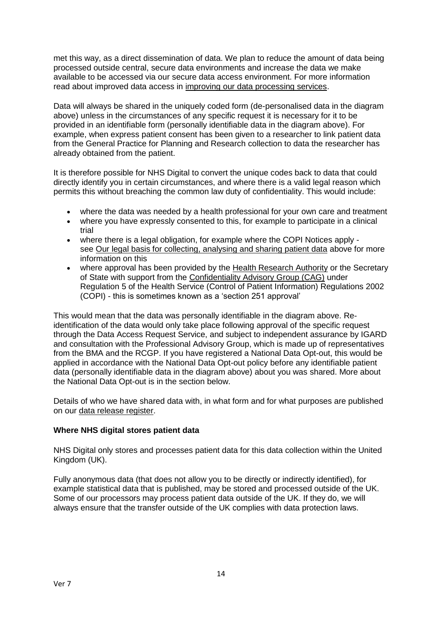met this way, as a direct dissemination of data. We plan to reduce the amount of data being processed outside central, secure data environments and increase the data we make available to be accessed via our secure data access environment. For more information read about improved data access in [improving our data processing services.](https://digital.nhs.uk/data-and-information/data-insights-and-statistics/improving-our-data-processing-services)

Data will always be shared in the uniquely coded form (de-personalised data in the diagram above) unless in the circumstances of any specific request it is necessary for it to be provided in an identifiable form (personally identifiable data in the diagram above). For example, when express patient consent has been given to a researcher to link patient data from the General Practice for Planning and Research collection to data the researcher has already obtained from the patient.

It is therefore possible for NHS Digital to convert the unique codes back to data that could directly identify you in certain circumstances, and where there is a valid legal reason which permits this without breaching the common law duty of confidentiality. This would include:

- where the data was needed by a health professional for your own care and treatment
- where you have expressly consented to this, for example to participate in a clinical trial
- where there is a legal obligation, for example where the COPI Notices apply see [Our legal basis for collecting, analysing and sharing patient data](https://digital.nhs.uk/data-and-information/data-collections-and-data-sets/data-collections/general-practice-data-for-planning-and-research/transparency-notice#our-legal-basis-for-collecting-analysing-and-sharing-patient-data) above for more information on this
- where approval has been provided by the [Health Research Authority](https://www.hra.nhs.uk/) or the Secretary of State with support from the [Confidentiality Advisory Group \(CAG\)](https://www.hra.nhs.uk/about-us/committees-and-services/confidentiality-advisory-group/) under Regulation 5 of the Health Service (Control of Patient Information) Regulations 2002 (COPI) - this is sometimes known as a 'section 251 approval'

This would mean that the data was personally identifiable in the diagram above. Reidentification of the data would only take place following approval of the specific request through the Data Access Request Service, and subject to independent assurance by IGARD and consultation with the Professional Advisory Group, which is made up of representatives from the BMA and the RCGP. If you have registered a National Data Opt-out, this would be applied in accordance with the National Data Opt-out policy before any identifiable patient data (personally identifiable data in the diagram above) about you was shared. More about the National Data Opt-out is in the section below.

Details of who we have shared data with, in what form and for what purposes are published on our [data release register.](https://digital.nhs.uk/services/data-access-request-service-dars/register-of-approved-data-releases)

# **Where NHS digital stores patient data**

NHS Digital only stores and processes patient data for this data collection within the United Kingdom (UK).

Fully anonymous data (that does not allow you to be directly or indirectly identified), for example statistical data that is published, may be stored and processed outside of the UK. Some of our processors may process patient data outside of the UK. If they do, we will always ensure that the transfer outside of the UK complies with data protection laws.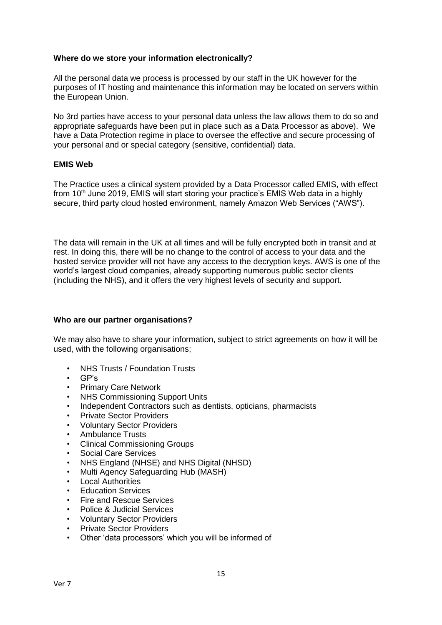#### **Where do we store your information electronically?**

All the personal data we process is processed by our staff in the UK however for the purposes of IT hosting and maintenance this information may be located on servers within the European Union.

No 3rd parties have access to your personal data unless the law allows them to do so and appropriate safeguards have been put in place such as a Data Processor as above). We have a Data Protection regime in place to oversee the effective and secure processing of your personal and or special category (sensitive, confidential) data.

## **EMIS Web**

The Practice uses a clinical system provided by a Data Processor called EMIS, with effect from  $10<sup>th</sup>$  June 2019, EMIS will start storing your practice's EMIS Web data in a highly secure, third party cloud hosted environment, namely Amazon Web Services ("AWS").

The data will remain in the UK at all times and will be fully encrypted both in transit and at rest. In doing this, there will be no change to the control of access to your data and the hosted service provider will not have any access to the decryption keys. AWS is one of the world's largest cloud companies, already supporting numerous public sector clients (including the NHS), and it offers the very highest levels of security and support.

#### **Who are our partner organisations?**

We may also have to share your information, subject to strict agreements on how it will be used, with the following organisations;

- NHS Trusts / Foundation Trusts
- GP's
- Primary Care Network
- NHS Commissioning Support Units
- Independent Contractors such as dentists, opticians, pharmacists
- Private Sector Providers
- Voluntary Sector Providers
- Ambulance Trusts
- Clinical Commissioning Groups
- Social Care Services
- NHS England (NHSE) and NHS Digital (NHSD)
- Multi Agency Safeguarding Hub (MASH)
- Local Authorities
- Education Services
- Fire and Rescue Services
- Police & Judicial Services
- Voluntary Sector Providers
- Private Sector Providers
- Other 'data processors' which you will be informed of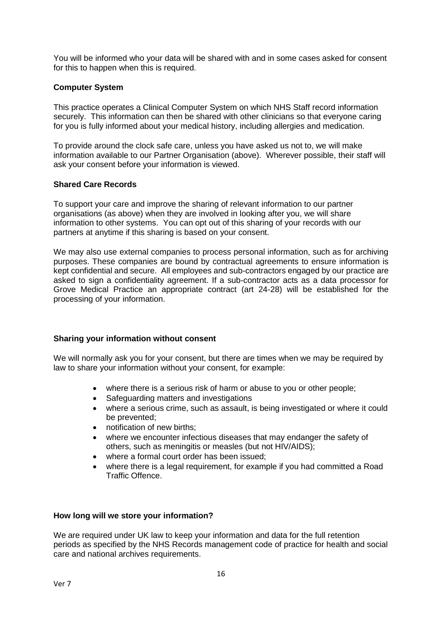You will be informed who your data will be shared with and in some cases asked for consent for this to happen when this is required.

# **Computer System**

This practice operates a Clinical Computer System on which NHS Staff record information securely. This information can then be shared with other clinicians so that everyone caring for you is fully informed about your medical history, including allergies and medication.

To provide around the clock safe care, unless you have asked us not to, we will make information available to our Partner Organisation (above). Wherever possible, their staff will ask your consent before your information is viewed.

## **Shared Care Records**

To support your care and improve the sharing of relevant information to our partner organisations (as above) when they are involved in looking after you, we will share information to other systems. You can opt out of this sharing of your records with our partners at anytime if this sharing is based on your consent.

We may also use external companies to process personal information, such as for archiving purposes. These companies are bound by contractual agreements to ensure information is kept confidential and secure. All employees and sub-contractors engaged by our practice are asked to sign a confidentiality agreement. If a sub-contractor acts as a data processor for Grove Medical Practice an appropriate contract (art 24-28) will be established for the processing of your information.

## **Sharing your information without consent**

We will normally ask you for your consent, but there are times when we may be required by law to share your information without your consent, for example:

- where there is a serious risk of harm or abuse to you or other people;
- Safeguarding matters and investigations
- where a serious crime, such as assault, is being investigated or where it could be prevented;
- notification of new births:
- where we encounter infectious diseases that may endanger the safety of others, such as meningitis or measles (but not HIV/AIDS);
- where a formal court order has been issued;
- where there is a legal requirement, for example if you had committed a Road Traffic Offence.

## **How long will we store your information?**

We are required under UK law to keep your information and data for the full retention periods as specified by the NHS Records management code of practice for health and social care and national archives requirements.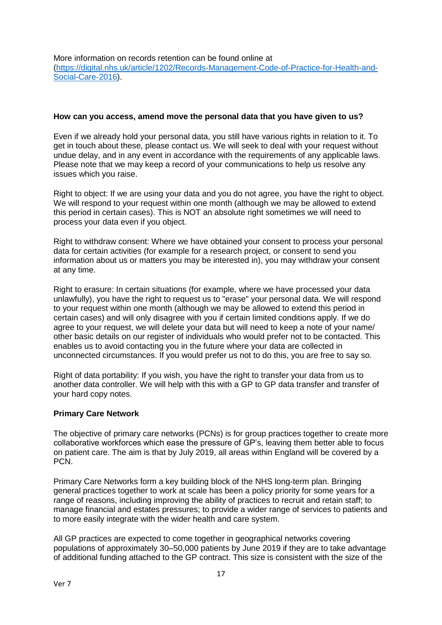More information on records retention can be found online at [\(https://digital.nhs.uk/article/1202/Records-Management-Code-of-Practice-for-Health-and-](https://digital.nhs.uk/article/1202/Records-Management-Code-of-Practice-for-Health-and-Social-Care-2016)[Social-Care-2016\)](https://digital.nhs.uk/article/1202/Records-Management-Code-of-Practice-for-Health-and-Social-Care-2016).

#### **How can you access, amend move the personal data that you have given to us?**

Even if we already hold your personal data, you still have various rights in relation to it. To get in touch about these, please contact us. We will seek to deal with your request without undue delay, and in any event in accordance with the requirements of any applicable laws. Please note that we may keep a record of your communications to help us resolve any issues which you raise.

Right to object: If we are using your data and you do not agree, you have the right to object. We will respond to your request within one month (although we may be allowed to extend this period in certain cases). This is NOT an absolute right sometimes we will need to process your data even if you object.

Right to withdraw consent: Where we have obtained your consent to process your personal data for certain activities (for example for a research project, or consent to send you information about us or matters you may be interested in), you may withdraw your consent at any time.

Right to erasure: In certain situations (for example, where we have processed your data unlawfully), you have the right to request us to "erase" your personal data. We will respond to your request within one month (although we may be allowed to extend this period in certain cases) and will only disagree with you if certain limited conditions apply. If we do agree to your request, we will delete your data but will need to keep a note of your name/ other basic details on our register of individuals who would prefer not to be contacted. This enables us to avoid contacting you in the future where your data are collected in unconnected circumstances. If you would prefer us not to do this, you are free to say so.

Right of data portability: If you wish, you have the right to transfer your data from us to another data controller. We will help with this with a GP to GP data transfer and transfer of your hard copy notes.

## **Primary Care Network**

The objective of primary care networks (PCNs) is for group practices together to create more collaborative workforces which ease the pressure of GP's, leaving them better able to focus on patient care. The aim is that by July 2019, all areas within England will be covered by a PCN.

Primary Care Networks form a key building block of the NHS long-term plan. Bringing general practices together to work at scale has been a policy priority for some years for a range of reasons, including improving the ability of practices to recruit and retain staff; to manage financial and estates pressures; to provide a wider range of services to patients and to more easily integrate with the wider health and care system.

All GP practices are expected to come together in geographical networks covering populations of approximately 30–50,000 patients by June 2019 if they are to take advantage of additional funding attached to the GP contract. This size is consistent with the size of the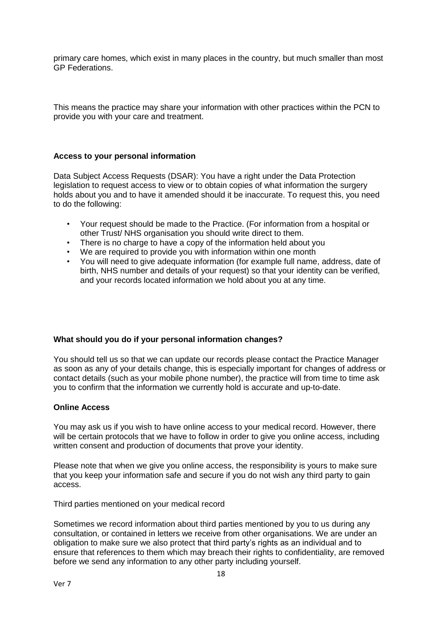primary care homes, which exist in many places in the country, but much smaller than most GP Federations.

This means the practice may share your information with other practices within the PCN to provide you with your care and treatment.

#### **Access to your personal information**

Data Subject Access Requests (DSAR): You have a right under the Data Protection legislation to request access to view or to obtain copies of what information the surgery holds about you and to have it amended should it be inaccurate. To request this, you need to do the following:

- Your request should be made to the Practice. (For information from a hospital or other Trust/ NHS organisation you should write direct to them.
- There is no charge to have a copy of the information held about you
- We are required to provide you with information within one month
- You will need to give adequate information (for example full name, address, date of birth, NHS number and details of your request) so that your identity can be verified, and your records located information we hold about you at any time.

#### **What should you do if your personal information changes?**

You should tell us so that we can update our records please contact the Practice Manager as soon as any of your details change, this is especially important for changes of address or contact details (such as your mobile phone number), the practice will from time to time ask you to confirm that the information we currently hold is accurate and up-to-date.

#### **Online Access**

You may ask us if you wish to have online access to your medical record. However, there will be certain protocols that we have to follow in order to give you online access, including written consent and production of documents that prove your identity.

Please note that when we give you online access, the responsibility is yours to make sure that you keep your information safe and secure if you do not wish any third party to gain access.

Third parties mentioned on your medical record

Sometimes we record information about third parties mentioned by you to us during any consultation, or contained in letters we receive from other organisations. We are under an obligation to make sure we also protect that third party's rights as an individual and to ensure that references to them which may breach their rights to confidentiality, are removed before we send any information to any other party including yourself.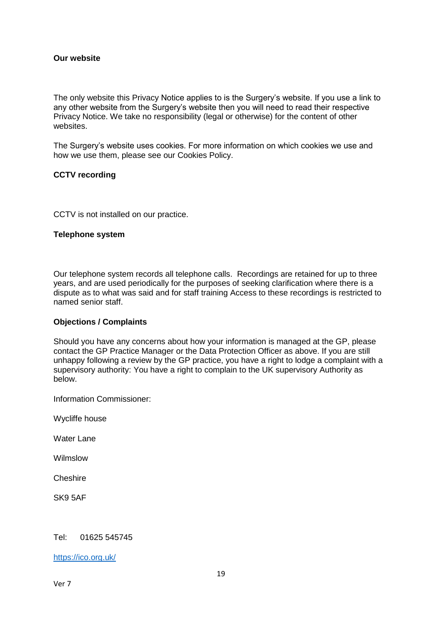#### **Our website**

The only website this Privacy Notice applies to is the Surgery's website. If you use a link to any other website from the Surgery's website then you will need to read their respective Privacy Notice. We take no responsibility (legal or otherwise) for the content of other websites.

The Surgery's website uses cookies. For more information on which cookies we use and how we use them, please see our Cookies Policy.

#### **CCTV recording**

CCTV is not installed on our practice.

#### **Telephone system**

Our telephone system records all telephone calls. Recordings are retained for up to three years, and are used periodically for the purposes of seeking clarification where there is a dispute as to what was said and for staff training Access to these recordings is restricted to named senior staff.

#### **Objections / Complaints**

Should you have any concerns about how your information is managed at the GP, please contact the GP Practice Manager or the Data Protection Officer as above. If you are still unhappy following a review by the GP practice, you have a right to lodge a complaint with a supervisory authority: You have a right to complain to the UK supervisory Authority as below.

Information Commissioner:

Wycliffe house

Water Lane

Wilmslow

**Cheshire** 

SK9 5AF

#### Tel: 01625 545745

<https://ico.org.uk/>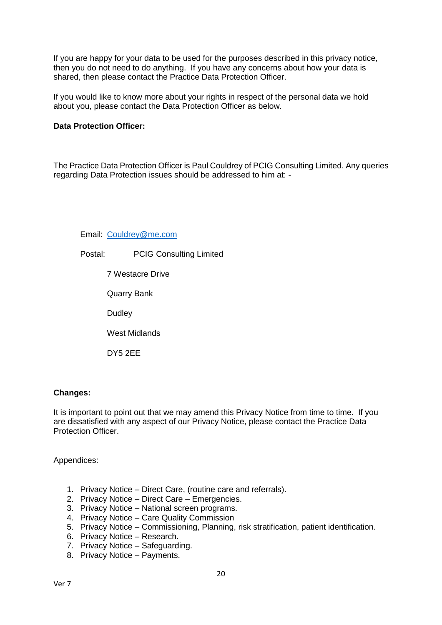If you are happy for your data to be used for the purposes described in this privacy notice, then you do not need to do anything. If you have any concerns about how your data is shared, then please contact the Practice Data Protection Officer.

If you would like to know more about your rights in respect of the personal data we hold about you, please contact the Data Protection Officer as below.

## **Data Protection Officer:**

The Practice Data Protection Officer is Paul Couldrey of PCIG Consulting Limited. Any queries regarding Data Protection issues should be addressed to him at: -

Email: [Couldrey@me.com](mailto:Couldrey@me.com)

Postal: PCIG Consulting Limited

7 Westacre Drive

Quarry Bank

**Dudley** 

West Midlands

DY5 2EE

## **Changes:**

It is important to point out that we may amend this Privacy Notice from time to time. If you are dissatisfied with any aspect of our Privacy Notice, please contact the Practice Data Protection Officer.

Appendices:

- 1. Privacy Notice Direct Care, (routine care and referrals).
- 2. Privacy Notice Direct Care Emergencies.
- 3. Privacy Notice National screen programs.
- 4. Privacy Notice Care Quality Commission
- 5. Privacy Notice Commissioning, Planning, risk stratification, patient identification.
- 6. Privacy Notice Research.
- 7. Privacy Notice Safeguarding.
- 8. Privacy Notice Payments.